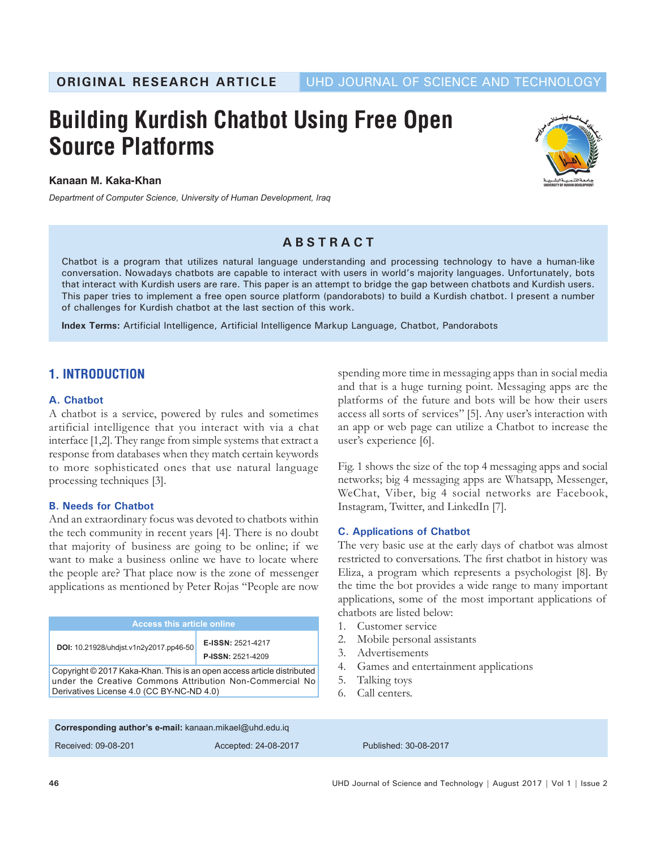**ORIGINAL RESEARCH ARTICLE** UHD JOURNAL OF SCIENCE AND TECHNOLOGY

# **Building Kurdish Chatbot Using Free Open Source Platforms**



**Kanaan M. Kaka-Khan**

*Department of Computer Science, University of Human Development, Iraq*

# **ABSTRACT**

Chatbot is a program that utilizes natural language understanding and processing technology to have a human-like conversation. Nowadays chatbots are capable to interact with users in world's majority languages. Unfortunately, bots that interact with Kurdish users are rare. This paper is an attempt to bridge the gap between chatbots and Kurdish users. This paper tries to implement a free open source platform (pandorabots) to build a Kurdish chatbot. I present a number of challenges for Kurdish chatbot at the last section of this work.

**Index Terms:** Artificial Intelligence, Artificial Intelligence Markup Language, Chatbot, Pandorabots

# **1. INTRODUCTION**

#### **A. Chatbot**

A chatbot is a service, powered by rules and sometimes artificial intelligence that you interact with via a chat interface [1,2]. They range from simple systems that extract a response from databases when they match certain keywords to more sophisticated ones that use natural language processing techniques [3].

#### **B. Needs for Chatbot**

And an extraordinary focus was devoted to chatbots within the tech community in recent years [4]. There is no doubt that majority of business are going to be online; if we want to make a business online we have to locate where the people are? That place now is the zone of messenger applications as mentioned by Peter Rojas "People are now

| <b>Access this article online</b>                                                                                                                                               |                                               |
|---------------------------------------------------------------------------------------------------------------------------------------------------------------------------------|-----------------------------------------------|
| DOI: 10.21928/uhdjst.v1n2y2017.pp46-50                                                                                                                                          | E-ISSN: 2521-4217<br><b>P-ISSN: 2521-4209</b> |
| Copyright © 2017 Kaka-Khan. This is an open access article distributed<br>under the Creative Commons Attribution Non-Commercial No<br>Derivatives License 4.0 (CC BY-NC-ND 4.0) |                                               |

spending more time in messaging apps than in social media and that is a huge turning point. Messaging apps are the platforms of the future and bots will be how their users access all sorts of services" [5]. Any user's interaction with an app or web page can utilize a Chatbot to increase the user's experience [6].

Fig. 1 shows the size of the top 4 messaging apps and social networks; big 4 messaging apps are Whatsapp, Messenger, WeChat, Viber, big 4 social networks are Facebook, Instagram, Twitter, and LinkedIn [7].

#### **C. Applications of Chatbot**

The very basic use at the early days of chatbot was almost restricted to conversations. The first chatbot in history was Eliza, a program which represents a psychologist [8]. By the time the bot provides a wide range to many important applications, some of the most important applications of chatbots are listed below:

- 1. Customer service
- 2. Mobile personal assistants
- 3. Advertisements
- 4. Games and entertainment applications
- 5. Talking toys
- 6. Call centers.

| Corresponding author's e-mail: kanaan.mikael@uhd.edu.iq |                      |                       |
|---------------------------------------------------------|----------------------|-----------------------|
| Received: 09-08-201                                     | Accepted: 24-08-2017 | Published: 30-08-2017 |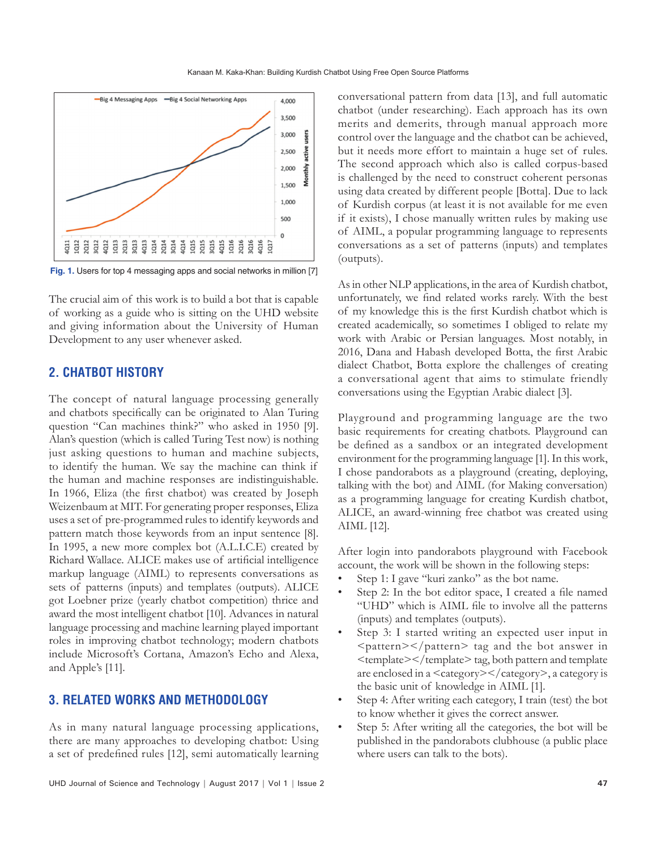

**Fig. 1.** Users for top 4 messaging apps and social networks in million [7]

The crucial aim of this work is to build a bot that is capable of working as a guide who is sitting on the UHD website and giving information about the University of Human Development to any user whenever asked.

## **2. CHATBOT HISTORY**

The concept of natural language processing generally and chatbots specifically can be originated to Alan Turing question "Can machines think?" who asked in 1950 [9]. Alan's question (which is called Turing Test now) is nothing just asking questions to human and machine subjects, to identify the human. We say the machine can think if the human and machine responses are indistinguishable. In 1966, Eliza (the first chatbot) was created by Joseph Weizenbaum at MIT. For generating proper responses, Eliza uses a set of pre-programmed rules to identify keywords and pattern match those keywords from an input sentence [8]. In 1995, a new more complex bot (A.L.I.C.E) created by Richard Wallace. ALICE makes use of artificial intelligence markup language (AIML) to represents conversations as sets of patterns (inputs) and templates (outputs). ALICE got Loebner prize (yearly chatbot competition) thrice and award the most intelligent chatbot [10]. Advances in natural language processing and machine learning played important roles in improving chatbot technology; modern chatbots include Microsoft's Cortana, Amazon's Echo and Alexa, and Apple's [11].

### **3. RELATED WORKS AND METHODOLOGY**

As in many natural language processing applications, there are many approaches to developing chatbot: Using a set of predefined rules [12], semi automatically learning conversational pattern from data [13], and full automatic chatbot (under researching). Each approach has its own merits and demerits, through manual approach more control over the language and the chatbot can be achieved, but it needs more effort to maintain a huge set of rules. The second approach which also is called corpus-based is challenged by the need to construct coherent personas using data created by different people [Botta]. Due to lack of Kurdish corpus (at least it is not available for me even if it exists), I chose manually written rules by making use of AIML, a popular programming language to represents conversations as a set of patterns (inputs) and templates (outputs).

As in other NLP applications, in the area of Kurdish chatbot, unfortunately, we find related works rarely. With the best of my knowledge this is the first Kurdish chatbot which is created academically, so sometimes I obliged to relate my work with Arabic or Persian languages. Most notably, in 2016, Dana and Habash developed Botta, the first Arabic dialect Chatbot, Botta explore the challenges of creating a conversational agent that aims to stimulate friendly conversations using the Egyptian Arabic dialect [3].

Playground and programming language are the two basic requirements for creating chatbots. Playground can be defined as a sandbox or an integrated development environment for the programming language [1]. In this work, I chose pandorabots as a playground (creating, deploying, talking with the bot) and AIML (for Making conversation) as a programming language for creating Kurdish chatbot, ALICE, an award-winning free chatbot was created using AIML [12].

After login into pandorabots playground with Facebook account, the work will be shown in the following steps:

- Step 1: I gave "kuri zanko" as the bot name.
- Step 2: In the bot editor space, I created a file named "UHD" which is AIML file to involve all the patterns (inputs) and templates (outputs).
- Step 3: I started writing an expected user input in  $\epsilon$  >  $\epsilon$  /pattern> tag and the bot answer in <template></template> tag, both pattern and template are enclosed in a <category></category>, a category is the basic unit of knowledge in AIML [1].
- Step 4: After writing each category, I train (test) the bot to know whether it gives the correct answer.
- Step 5: After writing all the categories, the bot will be published in the pandorabots clubhouse (a public place where users can talk to the bots).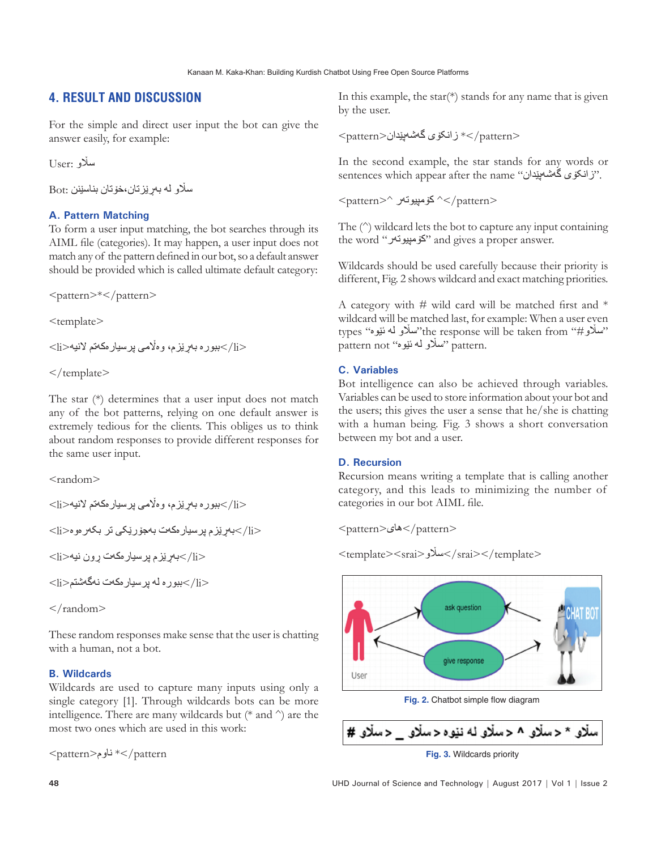# **4. RESULT AND DISCUSSION**

For the simple and direct user input the bot can give the answer easily, for example:

ساڵو :User

ساڵو لە بەڕێزتان،خۆتان بناسێنن :Bot

#### **A. Pattern Matching**

To form a user input matching, the bot searches through its AIML file (categories). It may happen, a user input does not match any of the pattern defined in our bot, so a default answer should be provided which is called ultimate default category:

<pattern>\*</pattern>

 $\leq$ template $>$ 

 $<$ اببوره بەریزم، وەلامی پرسیارەكەتم لانیە $>$ ان $\rm{$ 

 $\langle$  /template>

The star (\*) determines that a user input does not match any of the bot patterns, relying on one default answer is extremely tedious for the clients. This obliges us to think about random responses to provide different responses for the same user input.

<random>

```
<اببوره بەریزم، وەلامی پرسپارەكەتم لانیە>ان><li/<بەڕێزم پرسیارەکەت بەجۆرێکی تر بکەرەوە<li<
<li/<بەڕێزم پرسیارەکەت ڕون نیە<li<
<ببوره له پرسیار مکەت نەگەشتم>
```
 $\langle$  random $\rangle$ 

These random responses make sense that the user is chatting with a human, not a bot.

#### **B. Wildcards**

Wildcards are used to capture many inputs using only a single category [1]. Through wildcards bots can be more intelligence. There are many wildcards but (\* and ^) are the most two ones which are used in this work:

<pattern>ناوم>\* /pattern

In this example, the star(\*) stands for any name that is given by the user.

<pattern/ \*<زانکۆی گەشەپێدان<pattern<

In the second example, the star stands for any words or sentences which appear after the name "زانکۆی گەشەپیدان".

<pattern>^ کۆمپیوتەر>^ /pattern>

The (^) wildcard lets the bot to capture any input containing the word "کۆمپیوتەر "and gives a proper answer.

Wildcards should be used carefully because their priority is different, Fig. 2 shows wildcard and exact matching priorities.

A category with  $#$  wild card will be matched first and  $*$ wildcard will be matched last, for example: When a user even types "سالاو لە ئۆوە" the response will be taken from"سالاو لە ئۆوە pattern not "سَلَاو لَه ئَيْوە" pattern not

#### **C. Variables**

Bot intelligence can also be achieved through variables. Variables can be used to store information about your bot and the users; this gives the user a sense that he/she is chatting with a human being. Fig. 3 shows a short conversation between my bot and a user.

#### **D. Recursion**

Recursion means writing a template that is calling another category, and this leads to minimizing the number of categories in our bot AIML file.

<pattern>های>/pattern>

$$
<\!\!\text{template}{>}<\!\!\text{srai}{>}>\!\!\text{srai}{>}<\!\!\text{/template}{>}
$$



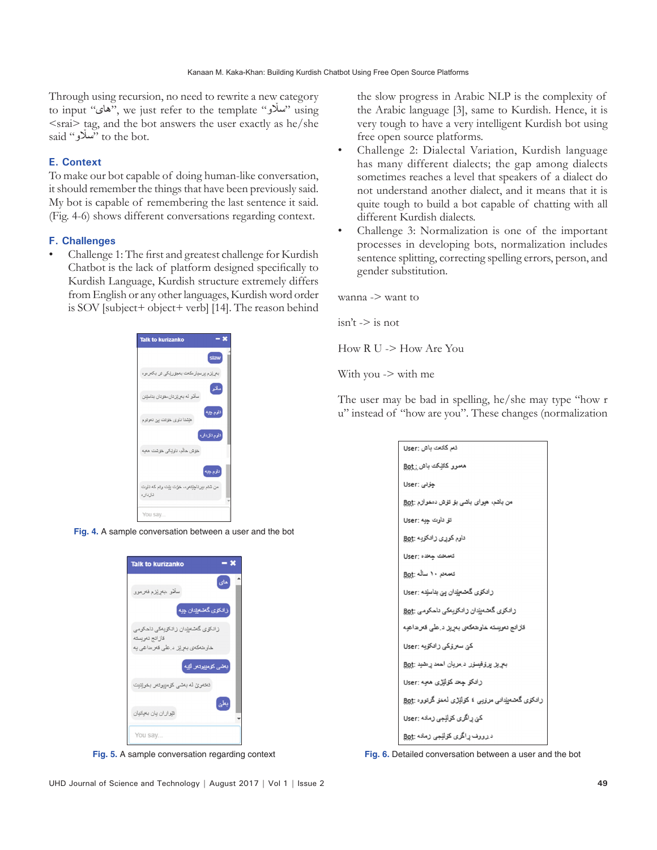Through using recursion, no need to rewrite a new category to input "های", we just refer to the template "ساڵو "using  $\langle$ srai $\rangle$  tag, and the bot answers the user exactly as he/she said "سألاو" to the bot.

#### **E. Context**

To make our bot capable of doing human-like conversation, it should remember the things that have been previously said. My bot is capable of remembering the last sentence it said. (Fig. 4-6) shows different conversations regarding context.

#### **F. Challenges**

• Challenge 1: The first and greatest challenge for Kurdish Chatbot is the lack of platform designed specifically to Kurdish Language, Kurdish structure extremely differs from English or any other languages, Kurdish word order is SOV [subject+ object+ verb] [14]. The reason behind



**Fig. 4.** A sample conversation between a user and the bot



the slow progress in Arabic NLP is the complexity of the Arabic language [3], same to Kurdish. Hence, it is very tough to have a very intelligent Kurdish bot using free open source platforms.

- Challenge 2: Dialectal Variation, Kurdish language has many different dialects; the gap among dialects sometimes reaches a level that speakers of a dialect do not understand another dialect, and it means that it is quite tough to build a bot capable of chatting with all different Kurdish dialects.
- Challenge 3: Normalization is one of the important processes in developing bots, normalization includes sentence splitting, correcting spelling errors, person, and gender substitution.

wanna -> want to

$$
isn't \to is not
$$

How R U -> How Are You

With you -> with me

The user may be bad in spelling, he/she may type "how r u" instead of "how are you". These changes (normalization

| ئە, كاتەت باش :User                                 |
|-----------------------------------------------------|
| معمور کانٽِکت باش <u>: Bo</u> t                     |
| جۇنى :User                                          |
| من باشم، هيواي باشي بؤ تؤش دمغوازم :Bot             |
| ئق تاوت چیه :User                                   |
| ناوم کوری زانکویه : <u>Bo</u> t                     |
| تەمەتت جەندە :User                                  |
| تەمەنە ١٠ سالە :Bot                                 |
| رادک <i>ۆی</i> گەشەي <u>ن</u> دان يې بناسنده :User  |
| رادكۇي گەشەب <u>ئ</u> دان رادكۇيەكى ئاھكومى :Bot    |
| قلالتج دمويسته خاوهدكمى بمړيز د على قعرها هيه       |
| کیّ سعروکی رادکویه :User                            |
| بعريز يروفيسور د مريان احمد ر منيد :Bot             |
| رادكر جعد كرلنزى معبه :User                         |
| رادكۇى گەشەيندانىي مرۇيى ، كۇلنۇرى لەخۇ گرتووە :Bot |
| كێ راگ <i>ر</i> ى كۇلنِْجِي زمادە :User             |
| د رووف راگری کولیجی رماده :Bot                      |

**Fig. 5.** A sample conversation regarding context **Fig. 6.** Detailed conversation between a user and the bot